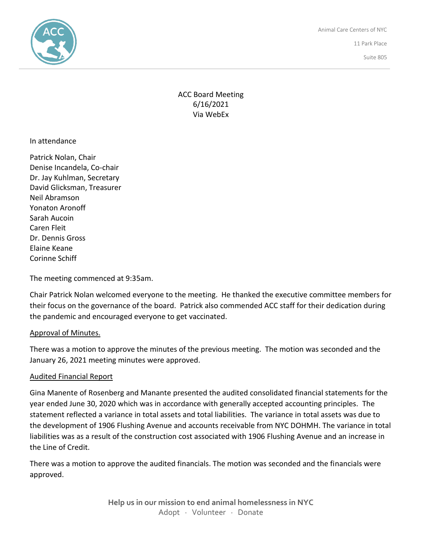

Animal Care Centers of NYC 11 Park Place

New York, NY 10007

Suite 805

# ACC Board Meeting 6/16/2021 Via WebEx

In attendance

Patrick Nolan, Chair Denise Incandela, Co-chair Dr. Jay Kuhlman, Secretary David Glicksman, Treasurer Neil Abramson Yonaton Aronoff Sarah Aucoin Caren Fleit Dr. Dennis Gross Elaine Keane Corinne Schiff

The meeting commenced at 9:35am.

Chair Patrick Nolan welcomed everyone to the meeting. He thanked the executive committee members for their focus on the governance of the board. Patrick also commended ACC staff for their dedication during the pandemic and encouraged everyone to get vaccinated.

### Approval of Minutes.

There was a motion to approve the minutes of the previous meeting. The motion was seconded and the January 26, 2021 meeting minutes were approved.

### Audited Financial Report

Gina Manente of Rosenberg and Manante presented the audited consolidated financial statements for the year ended June 30, 2020 which was in accordance with generally accepted accounting principles. The statement reflected a variance in total assets and total liabilities. The variance in total assets was due to the development of 1906 Flushing Avenue and accounts receivable from NYC DOHMH. The variance in total liabilities was as a result of the construction cost associated with 1906 Flushing Avenue and an increase in the Line of Credit.

There was a motion to approve the audited financials. The motion was seconded and the financials were approved.

> **Help us in our mission to end animal homelessness in NYC** Adopt · Volunteer · Donate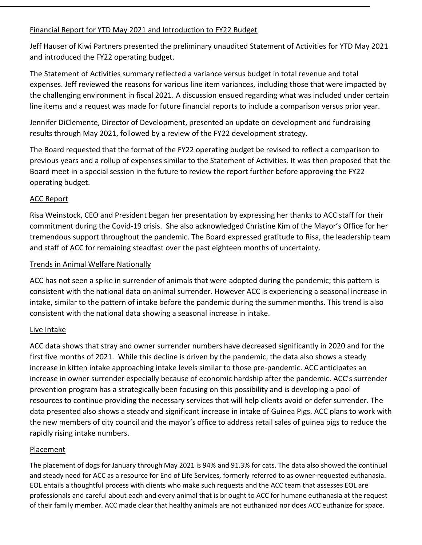## Financial Report for YTD May 2021 and Introduction to FY22 Budget

Jeff Hauser of Kiwi Partners presented the preliminary unaudited Statement of Activities for YTD May 2021 and introduced the FY22 operating budget.

The Statement of Activities summary reflected a variance versus budget in total revenue and total expenses. Jeff reviewed the reasons for various line item variances, including those that were impacted by the challenging environment in fiscal 2021. A discussion ensued regarding what was included under certain line items and a request was made for future financial reports to include a comparison versus prior year.

Jennifer DiClemente, Director of Development, presented an update on development and fundraising results through May 2021, followed by a review of the FY22 development strategy.

The Board requested that the format of the FY22 operating budget be revised to reflect a comparison to previous years and a rollup of expenses similar to the Statement of Activities. It was then proposed that the Board meet in a special session in the future to review the report further before approving the FY22 operating budget.

## ACC Report

Risa Weinstock, CEO and President began her presentation by expressing her thanks to ACC staff for their commitment during the Covid-19 crisis. She also acknowledged Christine Kim of the Mayor's Office for her tremendous support throughout the pandemic. The Board expressed gratitude to Risa, the leadership team and staff of ACC for remaining steadfast over the past eighteen months of uncertainty.

## Trends in Animal Welfare Nationally

ACC has not seen a spike in surrender of animals that were adopted during the pandemic; this pattern is consistent with the national data on animal surrender. However ACC is experiencing a seasonal increase in intake, similar to the pattern of intake before the pandemic during the summer months. This trend is also consistent with the national data showing a seasonal increase in intake.

### Live Intake

ACC data shows that stray and owner surrender numbers have decreased significantly in 2020 and for the first five months of 2021. While this decline is driven by the pandemic, the data also shows a steady increase in kitten intake approaching intake levels similar to those pre-pandemic. ACC anticipates an increase in owner surrender especially because of economic hardship after the pandemic. ACC's surrender prevention program has a strategically been focusing on this possibility and is developing a pool of resources to continue providing the necessary services that will help clients avoid or defer surrender. The data presented also shows a steady and significant increase in intake of Guinea Pigs. ACC plans to work with the new members of city council and the mayor's office to address retail sales of guinea pigs to reduce the rapidly rising intake numbers.

### Placement

The placement of dogs for January through May 2021 is 94% and 91.3% for cats. The data also showed the continual and steady need for ACC as a resource for End of Life Services, formerly referred to as owner-requested euthanasia. EOL entails a thoughtful process with clients who make such requests and the ACC team that assesses EOL are professionals and careful about each and every animal that is br ought to ACC for humane euthanasia at the request of their family member. ACC made clear that healthy animals are not euthanized nor does ACC euthanize for space.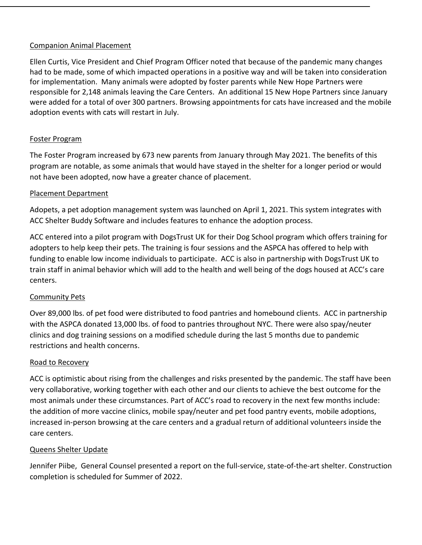### Companion Animal Placement

Ellen Curtis, Vice President and Chief Program Officer noted that because of the pandemic many changes had to be made, some of which impacted operations in a positive way and will be taken into consideration for implementation. Many animals were adopted by foster parents while New Hope Partners were responsible for 2,148 animals leaving the Care Centers. An additional 15 New Hope Partners since January were added for a total of over 300 partners. Browsing appointments for cats have increased and the mobile adoption events with cats will restart in July.

### Foster Program

The Foster Program increased by 673 new parents from January through May 2021. The benefits of this program are notable, as some animals that would have stayed in the shelter for a longer period or would not have been adopted, now have a greater chance of placement.

### Placement Department

Adopets, a pet adoption management system was launched on April 1, 2021. This system integrates with ACC Shelter Buddy Software and includes features to enhance the adoption process.

ACC entered into a pilot program with DogsTrust UK for their Dog School program which offers training for adopters to help keep their pets. The training is four sessions and the ASPCA has offered to help with funding to enable low income individuals to participate. ACC is also in partnership with DogsTrust UK to train staff in animal behavior which will add to the health and well being of the dogs housed at ACC's care centers.

### Community Pets

Over 89,000 lbs. of pet food were distributed to food pantries and homebound clients. ACC in partnership with the ASPCA donated 13,000 lbs. of food to pantries throughout NYC. There were also spay/neuter clinics and dog training sessions on a modified schedule during the last 5 months due to pandemic restrictions and health concerns.

### Road to Recovery

ACC is optimistic about rising from the challenges and risks presented by the pandemic. The staff have been very collaborative, working together with each other and our clients to achieve the best outcome for the most animals under these circumstances. Part of ACC's road to recovery in the next few months include: the addition of more vaccine clinics, mobile spay/neuter and pet food pantry events, mobile adoptions, increased in-person browsing at the care centers and a gradual return of additional volunteers inside the care centers.

### Queens Shelter Update

Jennifer Piibe, General Counsel presented a report on the full-service, state-of-the-art shelter. Construction completion is scheduled for Summer of 2022.